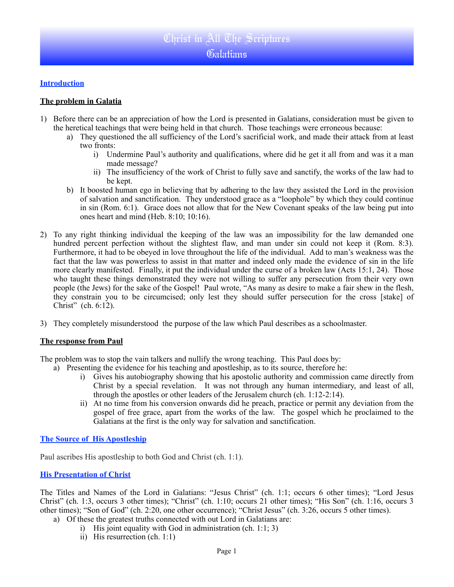### **Introduction**

### **The problem in Galatia**

- 1) Before there can be an appreciation of how the Lord is presented in Galatians, consideration must be given to the heretical teachings that were being held in that church. Those teachings were erroneous because:
	- a) They questioned the all sufficiency of the Lord's sacrificial work, and made their attack from at least two fronts:
		- i) Undermine Paul's authority and qualifications, where did he get it all from and was it a man made message?
		- ii) The insufficiency of the work of Christ to fully save and sanctify, the works of the law had to be kept.
	- b) It boosted human ego in believing that by adhering to the law they assisted the Lord in the provision of salvation and sanctification. They understood grace as a "loophole" by which they could continue in sin (Rom. 6:1). Grace does not allow that for the New Covenant speaks of the law being put into ones heart and mind (Heb. 8:10; 10:16).
- 2) To any right thinking individual the keeping of the law was an impossibility for the law demanded one hundred percent perfection without the slightest flaw, and man under sin could not keep it (Rom. 8:3). Furthermore, it had to be obeyed in love throughout the life of the individual. Add to man's weakness was the fact that the law was powerless to assist in that matter and indeed only made the evidence of sin in the life more clearly manifested. Finally, it put the individual under the curse of a broken law (Acts 15:1, 24). Those who taught these things demonstrated they were not willing to suffer any persecution from their very own people (the Jews) for the sake of the Gospel! Paul wrote, "As many as desire to make a fair shew in the flesh, they constrain you to be circumcised; only lest they should suffer persecution for the cross [stake] of Christ" (ch. 6:12).
- 3) They completely misunderstood the purpose of the law which Paul describes as a schoolmaster.

#### **The response from Paul**

The problem was to stop the vain talkers and nullify the wrong teaching. This Paul does by:

- a) Presenting the evidence for his teaching and apostleship, as to its source, therefore he:
	- i) Gives his autobiography showing that his apostolic authority and commission came directly from Christ by a special revelation. It was not through any human intermediary, and least of all, through the apostles or other leaders of the Jerusalem church (ch. 1:12-2:14).
	- ii) At no time from his conversion onwards did he preach, practice or permit any deviation from the gospel of free grace, apart from the works of the law. The gospel which he proclaimed to the Galatians at the first is the only way for salvation and sanctification.

### **The Source of His Apostleship**

Paul ascribes His apostleship to both God and Christ (ch. 1:1).

### **His Presentation of Christ**

The Titles and Names of the Lord in Galatians: "Jesus Christ" (ch. 1:1; occurs 6 other times); "Lord Jesus Christ" (ch. 1:3, occurs 3 other times); "Christ" (ch. 1:10; occurs 21 other times); "His Son" (ch. 1:16, occurs 3 other times); "Son of God" (ch. 2:20, one other occurrence); "Christ Jesus" (ch. 3:26, occurs 5 other times).

- a) Of these the greatest truths connected with out Lord in Galatians are:
	- i) His joint equality with God in administration (ch. 1:1; 3)
	- ii) His resurrection (ch. 1:1)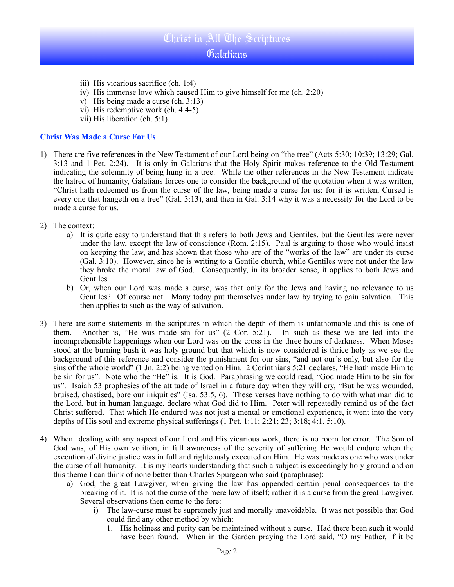## Christ in All The Scriptures

### Galatians

- iii) His vicarious sacrifice (ch. 1:4)
- iv) His immense love which caused Him to give himself for me (ch. 2:20)
- v) His being made a curse (ch. 3:13)
- vi) His redemptive work (ch. 4:4-5)
- vii) His liberation (ch. 5:1)

### **Christ Was Made a Curse For Us**

- 1) There are five references in the New Testament of our Lord being on "the tree" (Acts 5:30; 10:39; 13:29; Gal. 3:13 and 1 Pet. 2:24). It is only in Galatians that the Holy Spirit makes reference to the Old Testament indicating the solemnity of being hung in a tree. While the other references in the New Testament indicate the hatred of humanity, Galatians forces one to consider the background of the quotation when it was written, "Christ hath redeemed us from the curse of the law, being made a curse for us: for it is written, Cursed is every one that hangeth on a tree" (Gal. 3:13), and then in Gal. 3:14 why it was a necessity for the Lord to be made a curse for us.
- 2) The context:
	- a) It is quite easy to understand that this refers to both Jews and Gentiles, but the Gentiles were never under the law, except the law of conscience (Rom. 2:15). Paul is arguing to those who would insist on keeping the law, and has shown that those who are of the "works of the law" are under its curse (Gal. 3:10). However, since he is writing to a Gentile church, while Gentiles were not under the law they broke the moral law of God. Consequently, in its broader sense, it applies to both Jews and Gentiles.
	- b) Or, when our Lord was made a curse, was that only for the Jews and having no relevance to us Gentiles? Of course not. Many today put themselves under law by trying to gain salvation. This then applies to such as the way of salvation.
- 3) There are some statements in the scriptures in which the depth of them is unfathomable and this is one of them. Another is, "He was made sin for us" (2 Cor. 5:21). In such as these we are led into the incomprehensible happenings when our Lord was on the cross in the three hours of darkness. When Moses stood at the burning bush it was holy ground but that which is now considered is thrice holy as we see the background of this reference and consider the punishment for our sins, "and not our's only, but also for the sins of the whole world" (1 Jn. 2:2) being vented on Him. 2 Corinthians 5:21 declares, "He hath made Him to be sin for us". Note who the "He" is. It is God. Paraphrasing we could read, "God made Him to be sin for us". Isaiah 53 prophesies of the attitude of Israel in a future day when they will cry, "But he was wounded, bruised, chastised, bore our iniquities" (Isa. 53:5, 6). These verses have nothing to do with what man did to the Lord, but in human language, declare what God did to Him. Peter will repeatedly remind us of the fact Christ suffered. That which He endured was not just a mental or emotional experience, it went into the very depths of His soul and extreme physical sufferings (1 Pet. 1:11; 2:21; 23; 3:18; 4:1, 5:10).
- 4) When dealing with any aspect of our Lord and His vicarious work, there is no room for error. The Son of God was, of His own volition, in full awareness of the severity of suffering He would endure when the execution of divine justice was in full and righteously executed on Him. He was made as one who was under the curse of all humanity. It is my hearts understanding that such a subject is exceedingly holy ground and on this theme I can think of none better than Charles Spurgeon who said (paraphrase):
	- a) God, the great Lawgiver, when giving the law has appended certain penal consequences to the breaking of it. It is not the curse of the mere law of itself; rather it is a curse from the great Lawgiver. Several observations then come to the fore:
		- i) The law-curse must be supremely just and morally unavoidable. It was not possible that God could find any other method by which:
			- 1. His holiness and purity can be maintained without a curse. Had there been such it would have been found. When in the Garden praying the Lord said, "O my Father, if it be